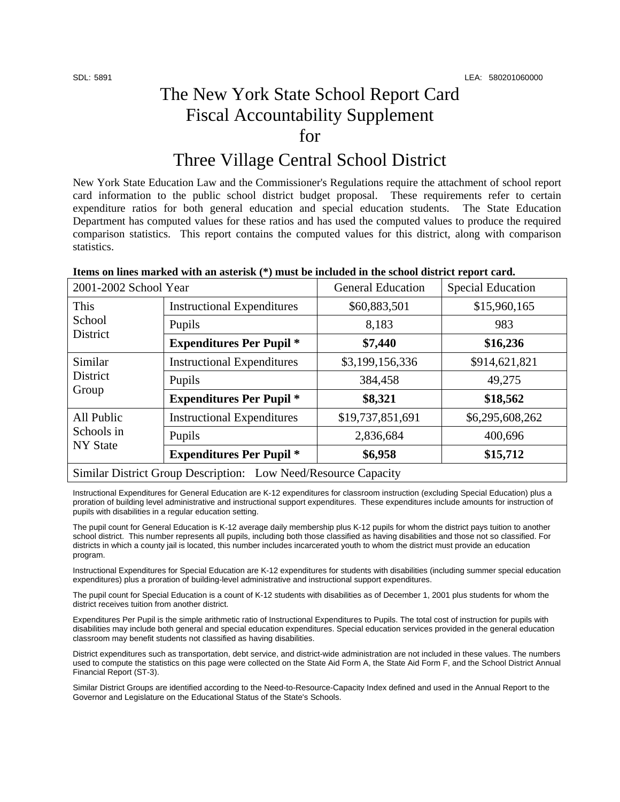## The New York State School Report Card Fiscal Accountability Supplement for

### Three Village Central School District

New York State Education Law and the Commissioner's Regulations require the attachment of school report card information to the public school district budget proposal. These requirements refer to certain expenditure ratios for both general education and special education students. The State Education Department has computed values for these ratios and has used the computed values to produce the required comparison statistics. This report contains the computed values for this district, along with comparison statistics.

| Items on lines marked with an asterisk (*) must be included in the school district report card. |  |
|-------------------------------------------------------------------------------------------------|--|
|                                                                                                 |  |

| 2001-2002 School Year                                          |                                   | <b>General Education</b> | <b>Special Education</b> |  |
|----------------------------------------------------------------|-----------------------------------|--------------------------|--------------------------|--|
| This<br>School<br>District                                     | <b>Instructional Expenditures</b> | \$60,883,501             | \$15,960,165             |  |
|                                                                | Pupils                            | 8,183                    | 983                      |  |
|                                                                | <b>Expenditures Per Pupil *</b>   | \$7,440                  | \$16,236                 |  |
| Similar<br><b>District</b><br>Group                            | <b>Instructional Expenditures</b> | \$3,199,156,336          | \$914,621,821            |  |
|                                                                | Pupils                            | 384,458                  | 49,275                   |  |
|                                                                | <b>Expenditures Per Pupil *</b>   | \$8,321                  | \$18,562                 |  |
| All Public<br>Schools in<br><b>NY State</b>                    | <b>Instructional Expenditures</b> | \$19,737,851,691         | \$6,295,608,262          |  |
|                                                                | Pupils                            | 2,836,684                | 400,696                  |  |
|                                                                | <b>Expenditures Per Pupil *</b>   | \$6,958                  | \$15,712                 |  |
| Similar District Group Description: Low Need/Resource Capacity |                                   |                          |                          |  |

Instructional Expenditures for General Education are K-12 expenditures for classroom instruction (excluding Special Education) plus a proration of building level administrative and instructional support expenditures. These expenditures include amounts for instruction of pupils with disabilities in a regular education setting.

The pupil count for General Education is K-12 average daily membership plus K-12 pupils for whom the district pays tuition to another school district. This number represents all pupils, including both those classified as having disabilities and those not so classified. For districts in which a county jail is located, this number includes incarcerated youth to whom the district must provide an education program.

Instructional Expenditures for Special Education are K-12 expenditures for students with disabilities (including summer special education expenditures) plus a proration of building-level administrative and instructional support expenditures.

The pupil count for Special Education is a count of K-12 students with disabilities as of December 1, 2001 plus students for whom the district receives tuition from another district.

Expenditures Per Pupil is the simple arithmetic ratio of Instructional Expenditures to Pupils. The total cost of instruction for pupils with disabilities may include both general and special education expenditures. Special education services provided in the general education classroom may benefit students not classified as having disabilities.

District expenditures such as transportation, debt service, and district-wide administration are not included in these values. The numbers used to compute the statistics on this page were collected on the State Aid Form A, the State Aid Form F, and the School District Annual Financial Report (ST-3).

Similar District Groups are identified according to the Need-to-Resource-Capacity Index defined and used in the Annual Report to the Governor and Legislature on the Educational Status of the State's Schools.